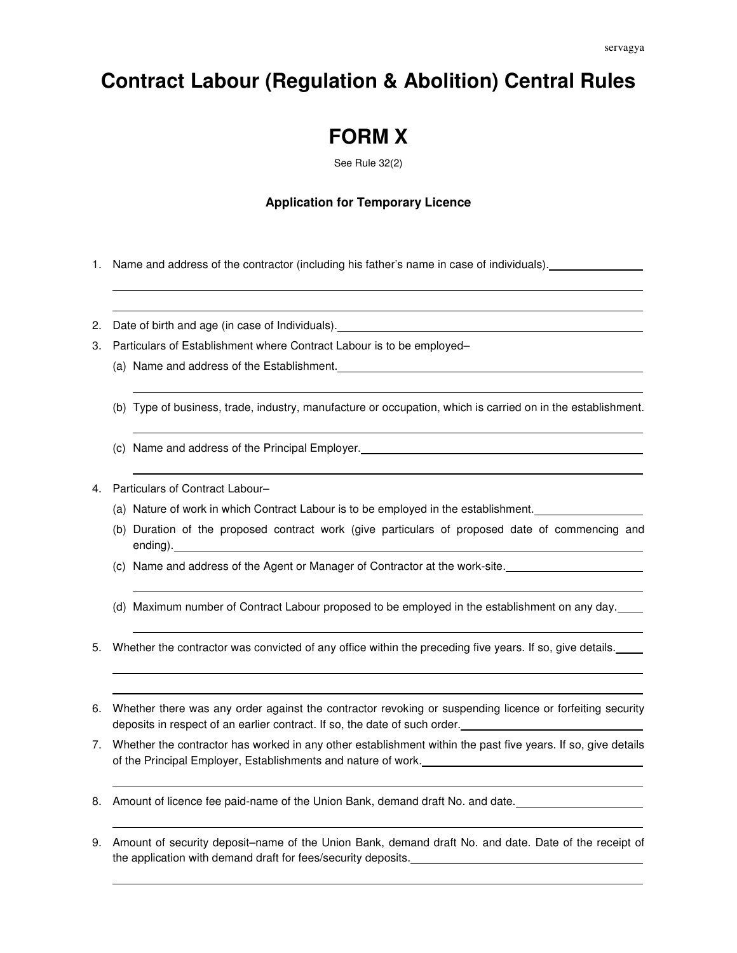## **Contract Labour (Regulation & Abolition) Central Rules**

## **FORM X**

See Rule 32(2)

## **Application for Temporary Licence**

- 1. Name and address of the contractor (including his father's name in case of individuals).
- 2. Date of birth and age (in case of Individuals).
- 3. Particulars of Establishment where Contract Labour is to be employed–
	- (a) Name and address of the Establishment.
	- (b) Type of business, trade, industry, manufacture or occupation, which is carried on in the establishment.
	- (c) Name and address of the Principal Employer.
- 4. Particulars of Contract Labour–
	- (a) Nature of work in which Contract Labour is to be employed in the establishment.
	- (b) Duration of the proposed contract work (give particulars of proposed date of commencing and ending).
	- (c) Name and address of the Agent or Manager of Contractor at the work-site.
	- (d) Maximum number of Contract Labour proposed to be employed in the establishment on any day.
- 5. Whether the contractor was convicted of any office within the preceding five years. If so, give details.
- 6. Whether there was any order against the contractor revoking or suspending licence or forfeiting security deposits in respect of an earlier contract. If so, the date of such order.
- 7. Whether the contractor has worked in any other establishment within the past five years. If so, give details of the Principal Employer, Establishments and nature of work.
- 8. Amount of licence fee paid-name of the Union Bank, demand draft No. and date.
- 9. Amount of security deposit–name of the Union Bank, demand draft No. and date. Date of the receipt of the application with demand draft for fees/security deposits.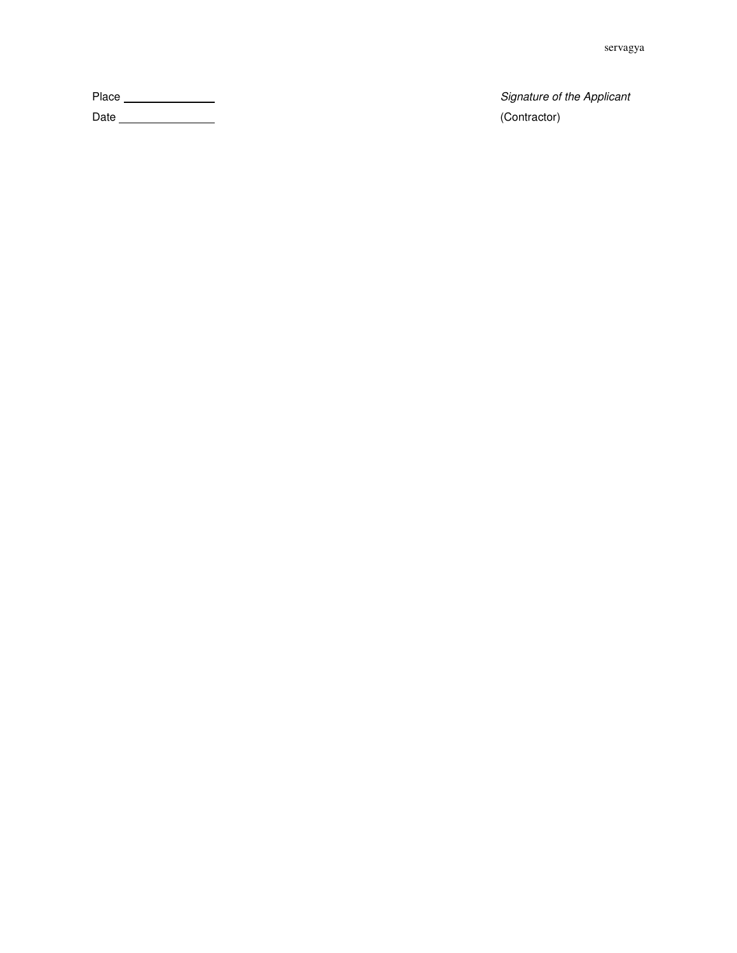Place Signature of the Applicant

Date (Contractor)